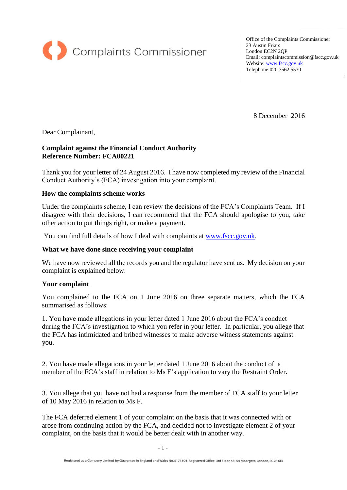

Office of the Complaints Commissioner 23 Austin Friars London EC2N 2QP Email: complaintscommission@fscc.gov.uk Website[: www.fscc.gov.uk](http://www.fscc.gov.uk/) Telephone:020 7562 5530

8 December 2016

Dear Complainant,

## **Complaint against the Financial Conduct Authority Reference Number: FCA00221**

Thank you for your letter of 24 August 2016. I have now completed my review of the Financial Conduct Authority's (FCA) investigation into your complaint.

### **How the complaints scheme works**

Under the complaints scheme, I can review the decisions of the FCA's Complaints Team. If I disagree with their decisions, I can recommend that the FCA should apologise to you, take other action to put things right, or make a payment.

You can find full details of how I deal with complaints at [www.fscc.gov.uk.](http://www.fscc.gov.uk/)

# **What we have done since receiving your complaint**

We have now reviewed all the records you and the regulator have sent us. My decision on your complaint is explained below.

### **Your complaint**

You complained to the FCA on 1 June 2016 on three separate matters, which the FCA summarised as follows:

1. You have made allegations in your letter dated 1 June 2016 about the FCA's conduct during the FCA's investigation to which you refer in your letter. In particular, you allege that the FCA has intimidated and bribed witnesses to make adverse witness statements against you.

2. You have made allegations in your letter dated 1 June 2016 about the conduct of a member of the FCA's staff in relation to Ms F's application to vary the Restraint Order.

3. You allege that you have not had a response from the member of FCA staff to your letter of 10 May 2016 in relation to Ms F.

The FCA deferred element 1 of your complaint on the basis that it was connected with or arose from continuing action by the FCA, and decided not to investigate element 2 of your complaint, on the basis that it would be better dealt with in another way.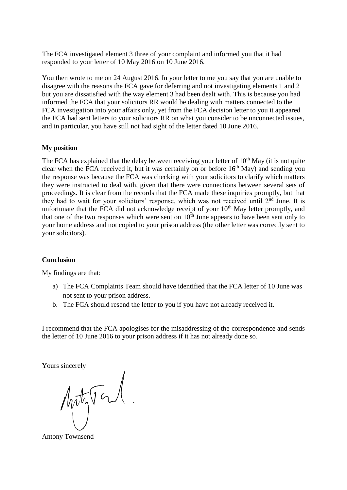The FCA investigated element 3 three of your complaint and informed you that it had responded to your letter of 10 May 2016 on 10 June 2016.

You then wrote to me on 24 August 2016. In your letter to me you say that you are unable to disagree with the reasons the FCA gave for deferring and not investigating elements 1 and 2 but you are dissatisfied with the way element 3 had been dealt with. This is because you had informed the FCA that your solicitors RR would be dealing with matters connected to the FCA investigation into your affairs only, yet from the FCA decision letter to you it appeared the FCA had sent letters to your solicitors RR on what you consider to be unconnected issues, and in particular, you have still not had sight of the letter dated 10 June 2016.

### **My position**

The FCA has explained that the delay between receiving your letter of  $10<sup>th</sup>$  May (it is not quite clear when the FCA received it, but it was certainly on or before  $16<sup>th</sup>$  May) and sending you the response was because the FCA was checking with your solicitors to clarify which matters they were instructed to deal with, given that there were connections between several sets of proceedings. It is clear from the records that the FCA made these inquiries promptly, but that they had to wait for your solicitors' response, which was not received until  $2<sup>nd</sup>$  June. It is unfortunate that the FCA did not acknowledge receipt of your  $10<sup>th</sup>$  May letter promptly, and that one of the two responses which were sent on  $10<sup>th</sup>$  June appears to have been sent only to your home address and not copied to your prison address (the other letter was correctly sent to your solicitors).

#### **Conclusion**

My findings are that:

- a) The FCA Complaints Team should have identified that the FCA letter of 10 June was not sent to your prison address.
- b. The FCA should resend the letter to you if you have not already received it.

I recommend that the FCA apologises for the misaddressing of the correspondence and sends the letter of 10 June 2016 to your prison address if it has not already done so.

Yours sincerely

Motyton.

Antony Townsend